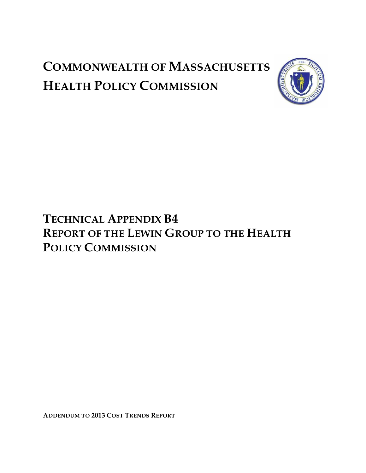# **COMMONWEALTH OF MASSACHUSETTS HEALTH POLICY COMMISSION**



## **TECHNICAL APPENDIX B4 REPORT OF THE LEWIN GROUP TO THE HEALTH POLICY COMMISSION**

**ADDENDUM TO 2013 COST TRENDS REPORT**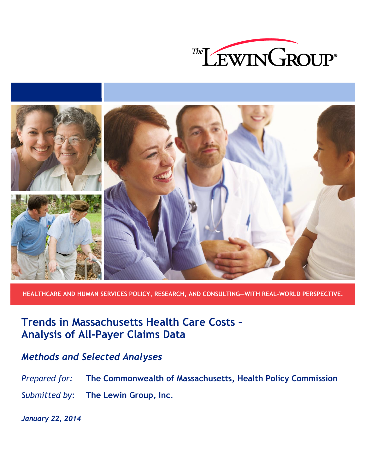



**HEALTHCARE AND HUMAN SERVICES POLICY, RESEARCH, AND CONSULTING―WITH REAL-WORLD PERSPECTIVE.**

**Trends in Massachusetts Health Care Costs – Analysis of All-Payer Claims Data**

## *Methods and Selected Analyses*

*Prepared for:* **The Commonwealth of Massachusetts, Health Policy Commission** *Submitted by*: **The Lewin Group, Inc.**

*January 22, 2014*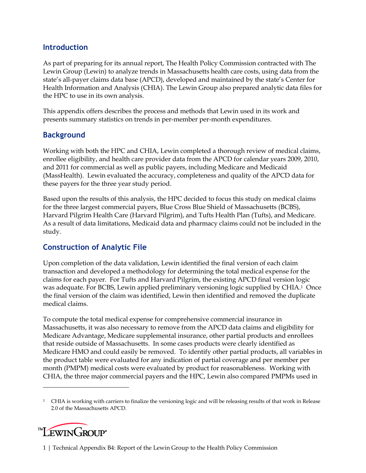### **Introduction**

As part of preparing for its annual report, The Health Policy Commission contracted with The Lewin Group (Lewin) to analyze trends in Massachusetts health care costs, using data from the state's all-payer claims data base (APCD), developed and maintained by the state's Center for Health Information and Analysis (CHIA). The Lewin Group also prepared analytic data files for the HPC to use in its own analysis.

This appendix offers describes the process and methods that Lewin used in its work and presents summary statistics on trends in per-member per-month expenditures.

## **Background**

Working with both the HPC and CHIA, Lewin completed a thorough review of medical claims, enrollee eligibility, and health care provider data from the APCD for calendar years 2009, 2010, and 2011 for commercial as well as public payers, including Medicare and Medicaid (MassHealth). Lewin evaluated the accuracy, completeness and quality of the APCD data for these payers for the three year study period.

Based upon the results of this analysis, the HPC decided to focus this study on medical claims for the three largest commercial payers, Blue Cross Blue Shield of Massachusetts (BCBS), Harvard Pilgrim Health Care (Harvard Pilgrim), and Tufts Health Plan (Tufts), and Medicare. As a result of data limitations, Medicaid data and pharmacy claims could not be included in the study.

## **Construction of Analytic File**

Upon completion of the data validation, Lewin identified the final version of each claim transaction and developed a methodology for determining the total medical expense for the claims for each payer. For Tufts and Harvard Pilgrim, the existing APCD final version logic was adequate. For BCBS, Lewin applied preliminary versioning logic supplied by CHIA. <sup>1</sup> Once the final version of the claim was identified, Lewin then identified and removed the duplicate medical claims.

To compute the total medical expense for comprehensive commercial insurance in Massachusetts, it was also necessary to remove from the APCD data claims and eligibility for Medicare Advantage, Medicare supplemental insurance, other partial products and enrollees that reside outside of Massachusetts. In some cases products were clearly identified as Medicare HMO and could easily be removed. To identify other partial products, all variables in the product table were evaluated for any indication of partial coverage and per member per month (PMPM) medical costs were evaluated by product for reasonableness. Working with CHIA, the three major commercial payers and the HPC, Lewin also compared PMPMs used in

<sup>&</sup>lt;sup>1</sup> CHIA is working with carriers to finalize the versioning logic and will be releasing results of that work in Release 2.0 of the Massachusetts APCD.



 $\overline{a}$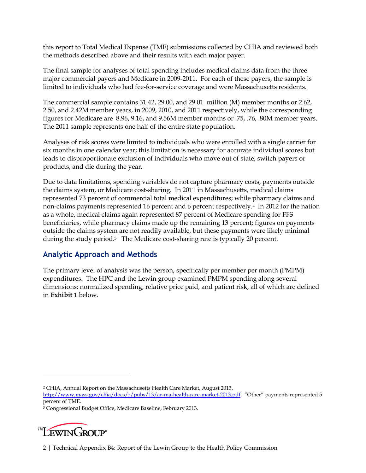this report to Total Medical Expense (TME) submissions collected by CHIA and reviewed both the methods described above and their results with each major payer.

The final sample for analyses of total spending includes medical claims data from the three major commercial payers and Medicare in 2009-2011. For each of these payers, the sample is limited to individuals who had fee-for-service coverage and were Massachusetts residents.

The commercial sample contains 31.42, 29.00, and 29.01 million (M) member months or 2.62, 2.50, and 2.42M member years, in 2009, 2010, and 2011 respectively, while the corresponding figures for Medicare are 8.96, 9.16, and 9.56M member months or .75, .76, .80M member years. The 2011 sample represents one half of the entire state population.

Analyses of risk scores were limited to individuals who were enrolled with a single carrier for six months in one calendar year; this limitation is necessary for accurate individual scores but leads to disproportionate exclusion of individuals who move out of state, switch payers or products, and die during the year.

Due to data limitations, spending variables do not capture pharmacy costs, payments outside the claims system, or Medicare cost-sharing. In 2011 in Massachusetts, medical claims represented 73 percent of commercial total medical expenditures; while pharmacy claims and non-claims payments represented 16 percent and 6 percent respectively.2 In 2012 for the nation as a whole, medical claims again represented 87 percent of Medicare spending for FFS beneficiaries, while pharmacy claims made up the remaining 13 percent; figures on payments outside the claims system are not readily available, but these payments were likely minimal during the study period.3 The Medicare cost-sharing rate is typically 20 percent.

## **Analytic Approach and Methods**

The primary level of analysis was the person, specifically per member per month (PMPM) expenditures. The HPC and the Lewin group examined PMPM spending along several dimensions: normalized spending, relative price paid, and patient risk, all of which are defined in **Exhibit 1** below.

<sup>3</sup> Congressional Budget Office, Medicare Baseline, February 2013.



 $\overline{a}$ 

<sup>2</sup> CHIA, Annual Report on the Massachusetts Health Care Market, August 2013.

<http://www.mass.gov/chia/docs/r/pubs/13/ar-ma-health-care-market-2013.pdf>. "Other" payments represented 5 percent of TME.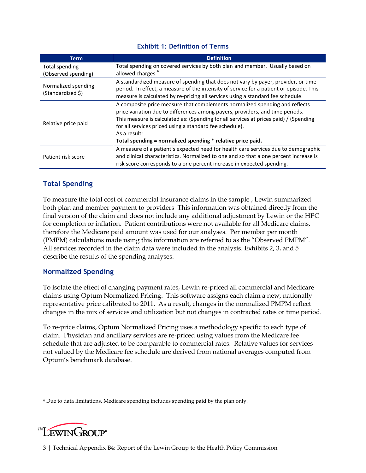| <b>Exhibit 1: Definition of Terms</b> |  |  |
|---------------------------------------|--|--|
|---------------------------------------|--|--|

| <b>Term</b>                              | <b>Definition</b>                                                                       |
|------------------------------------------|-----------------------------------------------------------------------------------------|
| Total spending                           | Total spending on covered services by both plan and member. Usually based on            |
| (Observed spending)                      | allowed charges. <sup>4</sup>                                                           |
|                                          | A standardized measure of spending that does not vary by payer, provider, or time       |
| Normalized spending<br>(Standardized \$) | period. In effect, a measure of the intensity of service for a patient or episode. This |
|                                          | measure is calculated by re-pricing all services using a standard fee schedule.         |
|                                          | A composite price measure that complements normalized spending and reflects             |
|                                          | price variation due to differences among payers, providers, and time periods.           |
| Relative price paid                      | This measure is calculated as: (Spending for all services at prices paid) / (Spending   |
|                                          | for all services priced using a standard fee schedule).<br>As a result:                 |
|                                          |                                                                                         |
|                                          | Total spending = normalized spending * relative price paid.                             |
| Patient risk score                       | A measure of a patient's expected need for health care services due to demographic      |
|                                          | and clinical characteristics. Normalized to one and so that a one percent increase is   |
|                                          | risk score corresponds to a one percent increase in expected spending.                  |

#### **Total Spending**

To measure the total cost of commercial insurance claims in the sample , Lewin summarized both plan and member payment to providers This information was obtained directly from the final version of the claim and does not include any additional adjustment by Lewin or the HPC for completion or inflation. Patient contributions were not available for all Medicare claims, therefore the Medicare paid amount was used for our analyses. Per member per month (PMPM) calculations made using this information are referred to as the "Observed PMPM". All services recorded in the claim data were included in the analysis. Exhibits 2, 3, and 5 describe the results of the spending analyses.

#### **Normalized Spending**

To isolate the effect of changing payment rates, Lewin re-priced all commercial and Medicare claims using Optum Normalized Pricing. This software assigns each claim a new, nationally representative price calibrated to 2011. As a result, changes in the normalized PMPM reflect changes in the mix of services and utilization but not changes in contracted rates or time period.

To re-price claims, Optum Normalized Pricing uses a methodology specific to each type of claim. Physician and ancillary services are re-priced using values from the Medicare fee schedule that are adjusted to be comparable to commercial rates. Relative values for services not valued by the Medicare fee schedule are derived from national averages computed from Optum's benchmark database.

<sup>4</sup> Due to data limitations, Medicare spending includes spending paid by the plan only.



 $\overline{a}$ 

3 | Technical Appendix B4: Report of the Lewin Group to the Health Policy Commission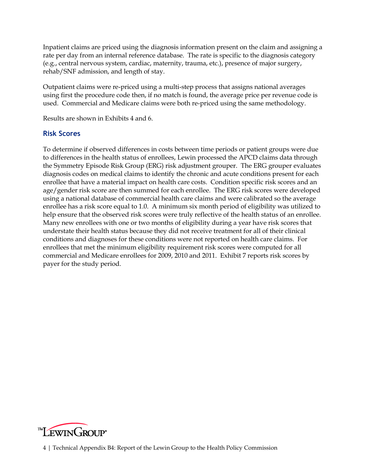Inpatient claims are priced using the diagnosis information present on the claim and assigning a rate per day from an internal reference database. The rate is specific to the diagnosis category (e.g., central nervous system, cardiac, maternity, trauma, etc.), presence of major surgery, rehab/SNF admission, and length of stay.

Outpatient claims were re-priced using a multi-step process that assigns national averages using first the procedure code then, if no match is found, the average price per revenue code is used. Commercial and Medicare claims were both re-priced using the same methodology.

Results are shown in Exhibits 4 and 6.

#### **Risk Scores**

To determine if observed differences in costs between time periods or patient groups were due to differences in the health status of enrollees, Lewin processed the APCD claims data through the Symmetry Episode Risk Group (ERG) risk adjustment grouper. The ERG grouper evaluates diagnosis codes on medical claims to identify the chronic and acute conditions present for each enrollee that have a material impact on health care costs. Condition specific risk scores and an age/gender risk score are then summed for each enrollee. The ERG risk scores were developed using a national database of commercial health care claims and were calibrated so the average enrollee has a risk score equal to 1.0. A minimum six month period of eligibility was utilized to help ensure that the observed risk scores were truly reflective of the health status of an enrollee. Many new enrollees with one or two months of eligibility during a year have risk scores that understate their health status because they did not receive treatment for all of their clinical conditions and diagnoses for these conditions were not reported on health care claims. For enrollees that met the minimum eligibility requirement risk scores were computed for all commercial and Medicare enrollees for 2009, 2010 and 2011. Exhibit 7 reports risk scores by payer for the study period.

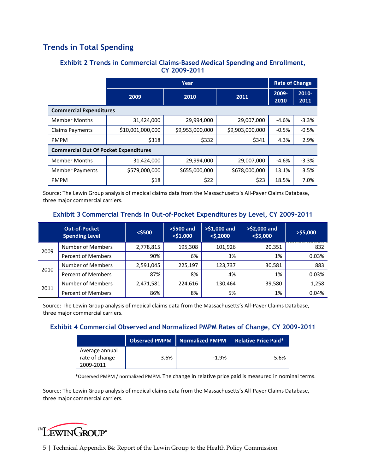## **Trends in Total Spending**

#### **Exhibit 2 Trends in Commercial Claims-Based Medical Spending and Enrollment, CY 2009-2011**

|                                              | Year                 |                 |                 |               | <b>Rate of Change</b> |  |  |
|----------------------------------------------|----------------------|-----------------|-----------------|---------------|-----------------------|--|--|
|                                              | 2009<br>2010<br>2011 |                 | 2009-<br>2010   | 2010-<br>2011 |                       |  |  |
| <b>Commercial Expenditures</b>               |                      |                 |                 |               |                       |  |  |
| <b>Member Months</b>                         | 31,424,000           | 29,994,000      | 29,007,000      | $-4.6%$       | $-3.3%$               |  |  |
| <b>Claims Payments</b>                       | \$10,001,000,000     | \$9,953,000,000 | \$9,903,000,000 | $-0.5%$       | $-0.5%$               |  |  |
| <b>PMPM</b>                                  | \$318                | \$332           | \$341           | 4.3%          | 2.9%                  |  |  |
| <b>Commercial Out Of Pocket Expenditures</b> |                      |                 |                 |               |                       |  |  |
| <b>Member Months</b>                         | 31,424,000           | 29,994,000      | 29,007,000      | $-4.6%$       | $-3.3%$               |  |  |
| <b>Member Payments</b>                       | \$579,000,000        | \$655,000,000   | \$678,000,000   | 13.1%         | 3.5%                  |  |  |
| <b>PMPM</b>                                  | \$18                 | \$22            | \$23            | 18.5%         | 7.0%                  |  |  |

Source: The Lewin Group analysis of medical claims data from the Massachusetts's All-Payer Claims Database, three major commercial carriers.

|      | <b>Out-of-Pocket</b><br><b>Spending Level</b> | $<$ \$500 | $>$ \$500 and<br>$<$ \$1,000 | $>$ \$1,000 and<br>$<$ \$,2000 | $>$ \$2,000 and<br>$<$ \$5,000 | $>$ \$5,000 |
|------|-----------------------------------------------|-----------|------------------------------|--------------------------------|--------------------------------|-------------|
|      | <b>Number of Members</b>                      | 2,778,815 | 195,308                      | 101,926                        | 20,351                         | 832         |
| 2009 | Percent of Members                            | 90%       | 6%                           | 3%                             | 1%                             | 0.03%       |
| 2010 | Number of Members                             | 2,591,045 | 225,197                      | 123,737                        | 30,581                         | 883         |
|      | <b>Percent of Members</b>                     | 87%       | 8%                           | 4%                             | 1%                             | 0.03%       |
| 2011 | Number of Members                             | 2,471,581 | 224,616                      | 130,464                        | 39,580                         | 1,258       |
|      | <b>Percent of Members</b>                     | 86%       | 8%                           | 5%                             | 1%                             | 0.04%       |

Source: The Lewin Group analysis of medical claims data from the Massachusetts's All-Payer Claims Database, three major commercial carriers.

#### **Exhibit 4 Commercial Observed and Normalized PMPM Rates of Change, CY 2009-2011**

|                                               |      | Observed PMPM   Normalized PMPM | <b>Relative Price Paid*</b> |
|-----------------------------------------------|------|---------------------------------|-----------------------------|
| Average annual<br>rate of change<br>2009-2011 | 3.6% | $-1.9%$                         | 5.6%                        |

\*Observed PMPM / normalized PMPM. The change in relative price paid is measured in nominal terms.

Source: The Lewin Group analysis of medical claims data from the Massachusetts's All-Payer Claims Database, three major commercial carriers.

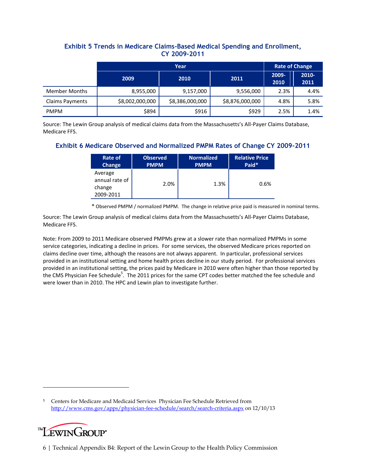#### **Exhibit 5 Trends in Medicare Claims-Based Medical Spending and Enrollment, CY 2009-2011**

|                        | Year            |                 |                 |               | <b>Rate of Change</b> |  |  |
|------------------------|-----------------|-----------------|-----------------|---------------|-----------------------|--|--|
|                        | 2009            | 2011<br>2010    |                 | 2009-<br>2010 | 2010-<br>2011         |  |  |
| <b>Member Months</b>   | 8,955,000       | 9,157,000       | 9,556,000       | 2.3%          | 4.4%                  |  |  |
| <b>Claims Payments</b> | \$8,002,000,000 | \$8,386,000,000 | \$8,876,000,000 | 4.8%          | 5.8%                  |  |  |
| <b>PMPM</b>            | \$894           | \$916           | \$929           | 2.5%          | 1.4%                  |  |  |

Source: The Lewin Group analysis of medical claims data from the Massachusetts's All-Payer Claims Database, Medicare FFS.

#### **Exhibit 6 Medicare Observed and Normalized PMPM Rates of Change CY 2009-2011**

| Rate of                                          | <b>Observed</b> | <b>Normalized</b> | <b>Relative Price</b> |
|--------------------------------------------------|-----------------|-------------------|-----------------------|
| Change                                           | <b>PMPM</b>     | <b>PMPM</b>       | Paid*                 |
| Average<br>annual rate of<br>change<br>2009-2011 | 2.0%            | 1.3%              | 0.6%                  |

\* Observed PMPM / normalized PMPM. The change in relative price paid is measured in nominal terms.

Source: The Lewin Group analysis of medical claims data from the Massachusetts's All-Payer Claims Database, Medicare FFS.

Note: From 2009 to 2011 Medicare observed PMPMs grew at a slower rate than normalized PMPMs in some service categories, indicating a decline in prices. For some services, the observed Medicare prices reported on claims decline over time, although the reasons are not always apparent. In particular, professional services provided in an institutional setting and home health prices decline in our study period. For professional services provided in an institutional setting, the prices paid by Medicare in 2010 were often higher than those reported by the CMS Physician Fee Schedule<sup>5</sup>. The 2011 prices for the same CPT codes better matched the fee schedule and were lower than in 2010. The HPC and Lewin plan to investigate further.

<sup>5</sup> Centers for Medicare and Medicaid Services Physician Fee Schedule Retrieved from <http://www.cms.gov/apps/physician-fee-schedule/search/search-criteria.aspx> on 12/10/13



 $\overline{a}$